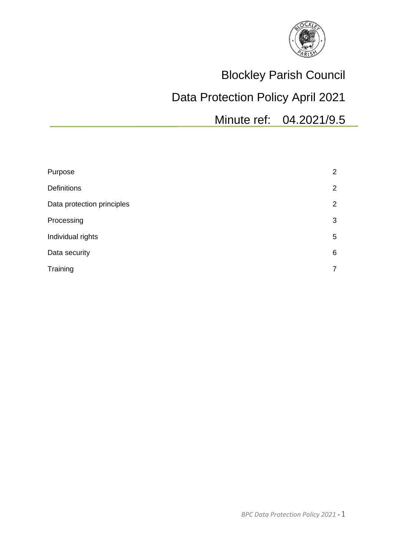

# Blockley Parish Council

# Data Protection Policy April 2021

Minute ref: 04.2021/9.5

| Purpose                    | 2              |
|----------------------------|----------------|
| <b>Definitions</b>         | 2              |
| Data protection principles | 2              |
| Processing                 | 3              |
| Individual rights          | 5              |
| Data security              | 6              |
| Training                   | $\overline{7}$ |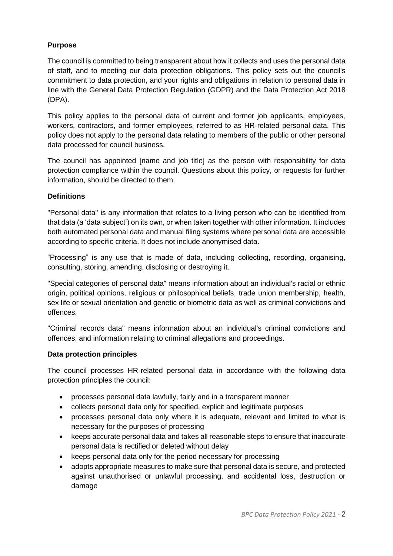# **Purpose**

The council is committed to being transparent about how it collects and uses the personal data of staff, and to meeting our data protection obligations. This policy sets out the council's commitment to data protection, and your rights and obligations in relation to personal data in line with the General Data Protection Regulation (GDPR) and the Data Protection Act 2018 (DPA).

This policy applies to the personal data of current and former job applicants, employees, workers, contractors, and former employees, referred to as HR-related personal data. This policy does not apply to the personal data relating to members of the public or other personal data processed for council business.

The council has appointed [name and job title] as the person with responsibility for data protection compliance within the council. Questions about this policy, or requests for further information, should be directed to them.

## **Definitions**

"Personal data" is any information that relates to a living person who can be identified from that data (a 'data subject') on its own, or when taken together with other information. It includes both automated personal data and manual filing systems where personal data are accessible according to specific criteria. It does not include anonymised data.

"Processing" is any use that is made of data, including collecting, recording, organising, consulting, storing, amending, disclosing or destroying it.

"Special categories of personal data" means information about an individual's racial or ethnic origin, political opinions, religious or philosophical beliefs, trade union membership, health, sex life or sexual orientation and genetic or biometric data as well as criminal convictions and offences.

"Criminal records data" means information about an individual's criminal convictions and offences, and information relating to criminal allegations and proceedings.

### **Data protection principles**

The council processes HR-related personal data in accordance with the following data protection principles the council:

- processes personal data lawfully, fairly and in a transparent manner
- collects personal data only for specified, explicit and legitimate purposes
- processes personal data only where it is adequate, relevant and limited to what is necessary for the purposes of processing
- keeps accurate personal data and takes all reasonable steps to ensure that inaccurate personal data is rectified or deleted without delay
- keeps personal data only for the period necessary for processing
- adopts appropriate measures to make sure that personal data is secure, and protected against unauthorised or unlawful processing, and accidental loss, destruction or damage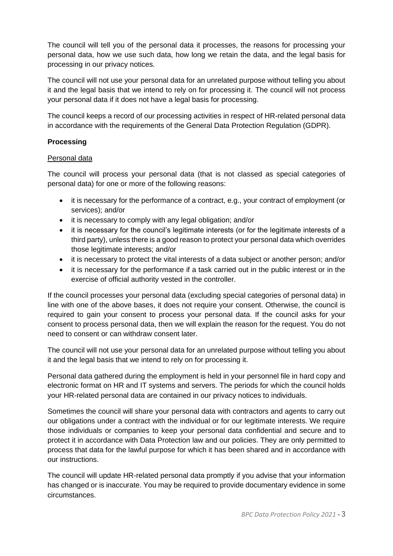The council will tell you of the personal data it processes, the reasons for processing your personal data, how we use such data, how long we retain the data, and the legal basis for processing in our privacy notices.

The council will not use your personal data for an unrelated purpose without telling you about it and the legal basis that we intend to rely on for processing it. The council will not process your personal data if it does not have a legal basis for processing.

The council keeps a record of our processing activities in respect of HR-related personal data in accordance with the requirements of the General Data Protection Regulation (GDPR).

# **Processing**

### Personal data

The council will process your personal data (that is not classed as special categories of personal data) for one or more of the following reasons:

- it is necessary for the performance of a contract, e.g., your contract of employment (or services); and/or
- it is necessary to comply with any legal obligation; and/or
- it is necessary for the council's legitimate interests (or for the legitimate interests of a third party), unless there is a good reason to protect your personal data which overrides those legitimate interests; and/or
- it is necessary to protect the vital interests of a data subject or another person; and/or
- it is necessary for the performance if a task carried out in the public interest or in the exercise of official authority vested in the controller.

If the council processes your personal data (excluding special categories of personal data) in line with one of the above bases, it does not require your consent. Otherwise, the council is required to gain your consent to process your personal data. If the council asks for your consent to process personal data, then we will explain the reason for the request. You do not need to consent or can withdraw consent later.

The council will not use your personal data for an unrelated purpose without telling you about it and the legal basis that we intend to rely on for processing it.

Personal data gathered during the employment is held in your personnel file in hard copy and electronic format on HR and IT systems and servers. The periods for which the council holds your HR-related personal data are contained in our privacy notices to individuals.

Sometimes the council will share your personal data with contractors and agents to carry out our obligations under a contract with the individual or for our legitimate interests. We require those individuals or companies to keep your personal data confidential and secure and to protect it in accordance with Data Protection law and our policies. They are only permitted to process that data for the lawful purpose for which it has been shared and in accordance with our instructions.

The council will update HR-related personal data promptly if you advise that your information has changed or is inaccurate. You may be required to provide documentary evidence in some circumstances.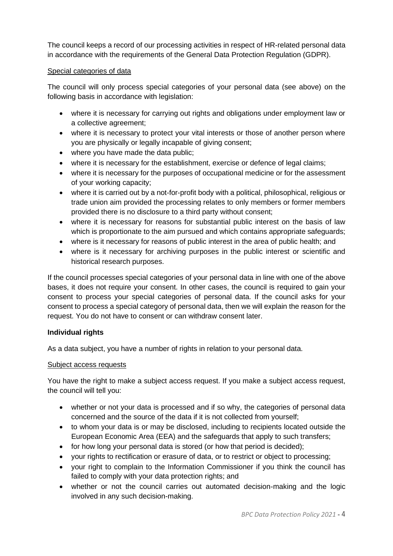The council keeps a record of our processing activities in respect of HR-related personal data in accordance with the requirements of the General Data Protection Regulation (GDPR).

## Special categories of data

The council will only process special categories of your personal data (see above) on the following basis in accordance with legislation:

- where it is necessary for carrying out rights and obligations under employment law or a collective agreement;
- where it is necessary to protect your vital interests or those of another person where you are physically or legally incapable of giving consent;
- where you have made the data public;
- where it is necessary for the establishment, exercise or defence of legal claims;
- where it is necessary for the purposes of occupational medicine or for the assessment of your working capacity;
- where it is carried out by a not-for-profit body with a political, philosophical, religious or trade union aim provided the processing relates to only members or former members provided there is no disclosure to a third party without consent;
- where it is necessary for reasons for substantial public interest on the basis of law which is proportionate to the aim pursued and which contains appropriate safeguards;
- where is it necessary for reasons of public interest in the area of public health; and
- where is it necessary for archiving purposes in the public interest or scientific and historical research purposes.

If the council processes special categories of your personal data in line with one of the above bases, it does not require your consent. In other cases, the council is required to gain your consent to process your special categories of personal data. If the council asks for your consent to process a special category of personal data, then we will explain the reason for the request. You do not have to consent or can withdraw consent later.

# **Individual rights**

As a data subject, you have a number of rights in relation to your personal data.

### Subject access requests

You have the right to make a subject access request. If you make a subject access request, the council will tell you:

- whether or not your data is processed and if so why, the categories of personal data concerned and the source of the data if it is not collected from yourself;
- to whom your data is or may be disclosed, including to recipients located outside the European Economic Area (EEA) and the safeguards that apply to such transfers;
- for how long your personal data is stored (or how that period is decided);
- your rights to rectification or erasure of data, or to restrict or object to processing;
- your right to complain to the Information Commissioner if you think the council has failed to comply with your data protection rights; and
- whether or not the council carries out automated decision-making and the logic involved in any such decision-making.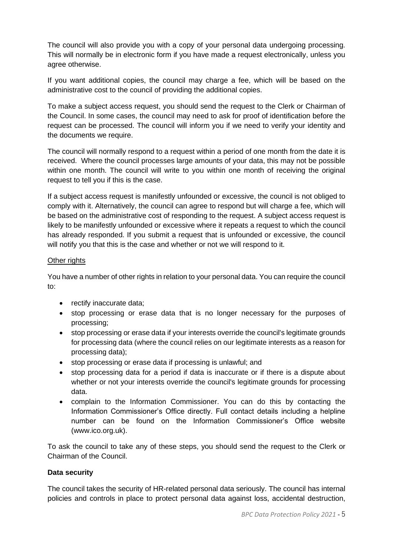The council will also provide you with a copy of your personal data undergoing processing. This will normally be in electronic form if you have made a request electronically, unless you agree otherwise.

If you want additional copies, the council may charge a fee, which will be based on the administrative cost to the council of providing the additional copies.

To make a subject access request, you should send the request to the Clerk or Chairman of the Council. In some cases, the council may need to ask for proof of identification before the request can be processed. The council will inform you if we need to verify your identity and the documents we require.

The council will normally respond to a request within a period of one month from the date it is received. Where the council processes large amounts of your data, this may not be possible within one month. The council will write to you within one month of receiving the original request to tell you if this is the case.

If a subject access request is manifestly unfounded or excessive, the council is not obliged to comply with it. Alternatively, the council can agree to respond but will charge a fee, which will be based on the administrative cost of responding to the request. A subject access request is likely to be manifestly unfounded or excessive where it repeats a request to which the council has already responded. If you submit a request that is unfounded or excessive, the council will notify you that this is the case and whether or not we will respond to it.

### Other rights

You have a number of other rights in relation to your personal data. You can require the council to:

- rectify inaccurate data;
- stop processing or erase data that is no longer necessary for the purposes of processing;
- stop processing or erase data if your interests override the council's legitimate grounds for processing data (where the council relies on our legitimate interests as a reason for processing data);
- stop processing or erase data if processing is unlawful; and
- stop processing data for a period if data is inaccurate or if there is a dispute about whether or not your interests override the council's legitimate grounds for processing data.
- complain to the Information Commissioner. You can do this by contacting the Information Commissioner's Office directly. Full contact details including a helpline number can be found on the Information Commissioner's Office website (www.ico.org.uk).

To ask the council to take any of these steps, you should send the request to the Clerk or Chairman of the Council.

# **Data security**

The council takes the security of HR-related personal data seriously. The council has internal policies and controls in place to protect personal data against loss, accidental destruction,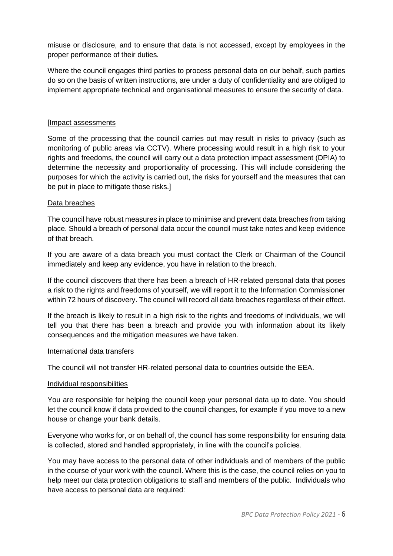misuse or disclosure, and to ensure that data is not accessed, except by employees in the proper performance of their duties.

Where the council engages third parties to process personal data on our behalf, such parties do so on the basis of written instructions, are under a duty of confidentiality and are obliged to implement appropriate technical and organisational measures to ensure the security of data.

## [Impact assessments

Some of the processing that the council carries out may result in risks to privacy (such as monitoring of public areas via CCTV). Where processing would result in a high risk to your rights and freedoms, the council will carry out a data protection impact assessment (DPIA) to determine the necessity and proportionality of processing. This will include considering the purposes for which the activity is carried out, the risks for yourself and the measures that can be put in place to mitigate those risks.]

## Data breaches

The council have robust measures in place to minimise and prevent data breaches from taking place. Should a breach of personal data occur the council must take notes and keep evidence of that breach.

If you are aware of a data breach you must contact the Clerk or Chairman of the Council immediately and keep any evidence, you have in relation to the breach.

If the council discovers that there has been a breach of HR-related personal data that poses a risk to the rights and freedoms of yourself, we will report it to the Information Commissioner within 72 hours of discovery. The council will record all data breaches regardless of their effect.

If the breach is likely to result in a high risk to the rights and freedoms of individuals, we will tell you that there has been a breach and provide you with information about its likely consequences and the mitigation measures we have taken.

### International data transfers

The council will not transfer HR-related personal data to countries outside the EEA.

### Individual responsibilities

You are responsible for helping the council keep your personal data up to date. You should let the council know if data provided to the council changes, for example if you move to a new house or change your bank details.

Everyone who works for, or on behalf of, the council has some responsibility for ensuring data is collected, stored and handled appropriately, in line with the council's policies.

You may have access to the personal data of other individuals and of members of the public in the course of your work with the council. Where this is the case, the council relies on you to help meet our data protection obligations to staff and members of the public. Individuals who have access to personal data are required: